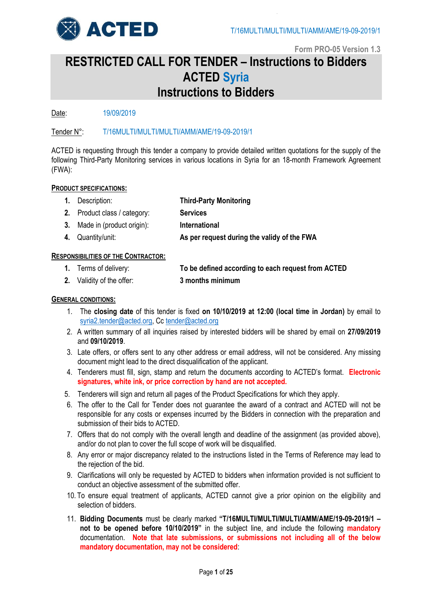

# **RESTRICTED CALL FOR TENDER – Instructions to Bidders ACTED Syria Instructions to Bidders**

Date: 19/09/2019

Tender N°: T/16MULTI/MULTI/MULTI/AMM/AME/19-09-2019/1

ACTED is requesting through this tender a company to provide detailed written quotations for the supply of the following Third-Party Monitoring services in various locations in Syria for an 18-month Framework Agreement (FWA):

# **PRODUCT SPECIFICATIONS:**

- **1.** Description: **Third-Party Monitoring**
- **2.** Product class / category: **Services**
- **3.** Made in (product origin): **International**
- **4.** Quantity/unit: **As per request during the validy of the FWA**

# **RESPONSIBILITIES OF THE CONTRACTOR:**

- **1.** Terms of delivery: **To be defined according to each request from ACTED**
- **2.** Validity of the offer: **3 months minimum**

# **GENERAL CONDITIONS:**

- 1. The **closing date** of this tender is fixed **on 10/10/2019 at 12:00 (local time in Jordan)** by email to [syria2.tender@acted.org,](mailto:syria2.tender@acted.org) Cc [tender@acted.org](mailto:tender@acted.org)
- 2. A written summary of all inquiries raised by interested bidders will be shared by email on **27/09/2019** and **09/10/2019**.
- 3. Late offers, or offers sent to any other address or email address, will not be considered. Any missing document might lead to the direct disqualification of the applicant.
- 4. Tenderers must fill, sign, stamp and return the documents according to ACTED's format. **Electronic signatures, white ink, or price correction by hand are not accepted.**
- 5. Tenderers will sign and return all pages of the Product Specifications for which they apply.
- 6. The offer to the Call for Tender does not guarantee the award of a contract and ACTED will not be responsible for any costs or expenses incurred by the Bidders in connection with the preparation and submission of their bids to ACTED.
- 7. Offers that do not comply with the overall length and deadline of the assignment (as provided above), and/or do not plan to cover the full scope of work will be disqualified.
- 8. Any error or major discrepancy related to the instructions listed in the Terms of Reference may lead to the rejection of the bid.
- 9. Clarifications will only be requested by ACTED to bidders when information provided is not sufficient to conduct an objective assessment of the submitted offer.
- 10. To ensure equal treatment of applicants, ACTED cannot give a prior opinion on the eligibility and selection of bidders.
- 11. **Bidding Documents** must be clearly marked **"T/16MULTI/MULTI/MULTI/AMM/AME/19-09-2019/1 – not to be opened before 10/10/2019"** in the subject line, and include the following **mandatory** documentation. **Note that late submissions, or submissions not including all of the below mandatory documentation, may not be considered**: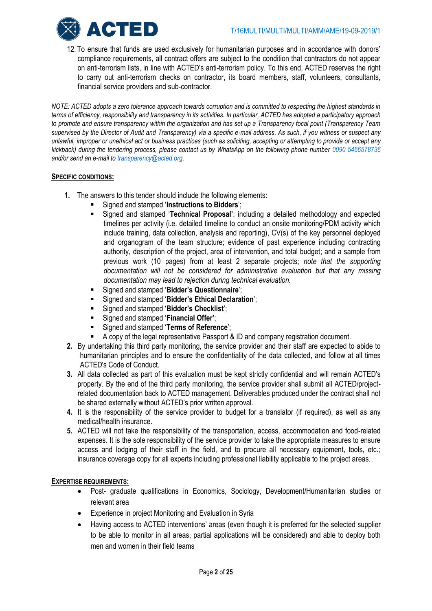

12. To ensure that funds are used exclusively for humanitarian purposes and in accordance with donors' compliance requirements, all contract offers are subject to the condition that contractors do not appear on anti-terrorism lists, in line with ACTED's anti-terrorism policy. To this end, ACTED reserves the right to carry out anti-terrorism checks on contractor, its board members, staff, volunteers, consultants, financial service providers and sub-contractor.

*NOTE: ACTED adopts a zero tolerance approach towards corruption and is committed to respecting the highest standards in terms of efficiency, responsibility and transparency in its activities. In particular, ACTED has adopted a participatory approach to promote and ensure transparency within the organization and has set up a Transparency focal point (Transparency Team supervised by the Director of Audit and Transparency) via a specific e-mail address*. *As such, if you witness or suspect any unlawful, improper or unethical act or business practices (such as soliciting, accepting or attempting to provide or accept any kickback) during the tendering process, please contact us by WhatsApp on the following phone number 0090 5466578736 and/or send an e-mail to [transparency@acted.org.](mailto:transparency@acted.org)*

# **SPECIFIC CONDITIONS:**

- **1.** The answers to this tender should include the following elements:
	- Signed and stamped '**Instructions to Bidders**';
	- Signed and stamped '**Technical Proposal'**; including a detailed methodology and expected timelines per activity (i.e. detailed timeline to conduct an onsite monitoring/PDM activity which include training, data collection, analysis and reporting), CV(s) of the key personnel deployed and organogram of the team structure; evidence of past experience including contracting authority, description of the project, area of intervention, and total budget; and a sample from previous work (10 pages) from at least 2 separate projects; *note that the supporting documentation will not be considered for administrative evaluation but that any missing documentation may lead to rejection during technical evaluation.*
	- Signed and stamped '**Bidder's Questionnaire**';
	- Signed and stamped '**Bidder's Ethical Declaration**';
	- Signed and stamped '**Bidder's Checklist**';
	- Signed and stamped '**Financial Offer'**;
	- Signed and stamped '**Terms of Reference**';
	- A copy of the legal representative Passport & ID and company registration document.
- **2.** By undertaking this third party monitoring, the service provider and their staff are expected to abide to humanitarian principles and to ensure the confidentiality of the data collected, and follow at all times ACTED's Code of Conduct.
- **3.** All data collected as part of this evaluation must be kept strictly confidential and will remain ACTED's property. By the end of the third party monitoring, the service provider shall submit all ACTED/projectrelated documentation back to ACTED management. Deliverables produced under the contract shall not be shared externally without ACTED's prior written approval.
- **4.** It is the responsibility of the service provider to budget for a translator (if required), as well as any medical/health insurance.
- **5.** ACTED will not take the responsibility of the transportation, access, accommodation and food-related expenses. It is the sole responsibility of the service provider to take the appropriate measures to ensure access and lodging of their staff in the field, and to procure all necessary equipment, tools, etc.; insurance coverage copy for all experts including professional liability applicable to the project areas.

# **EXPERTISE REQUIREMENTS:**

- Post- graduate qualifications in Economics, Sociology, Development/Humanitarian studies or relevant area
- Experience in project Monitoring and Evaluation in Syria
- Having access to ACTED interventions' areas (even though it is preferred for the selected supplier to be able to monitor in all areas, partial applications will be considered) and able to deploy both men and women in their field teams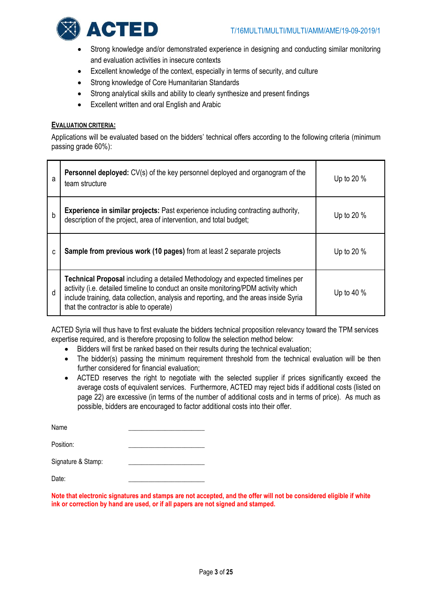

- Strong knowledge and/or demonstrated experience in designing and conducting similar monitoring and evaluation activities in insecure contexts
- Excellent knowledge of the context, especially in terms of security, and culture
- Strong knowledge of Core Humanitarian Standards
- Strong analytical skills and ability to clearly synthesize and present findings
- Excellent written and oral English and Arabic

# **EVALUATION CRITERIA:**

Applications will be evaluated based on the bidders' technical offers according to the following criteria (minimum passing grade 60%):

| a           | Personnel deployed: CV(s) of the key personnel deployed and organogram of the<br>team structure                                                                                                                                                                                                           | Up to 20 %   |
|-------------|-----------------------------------------------------------------------------------------------------------------------------------------------------------------------------------------------------------------------------------------------------------------------------------------------------------|--------------|
| $\mathsf b$ | Experience in similar projects: Past experience including contracting authority,<br>description of the project, area of intervention, and total budget;                                                                                                                                                   | Up to 20 %   |
| C           | Sample from previous work (10 pages) from at least 2 separate projects                                                                                                                                                                                                                                    | Up to 20 %   |
| d           | Technical Proposal including a detailed Methodology and expected timelines per<br>activity (i.e. detailed timeline to conduct an onsite monitoring/PDM activity which<br>include training, data collection, analysis and reporting, and the areas inside Syria<br>that the contractor is able to operate) | Up to 40 $%$ |

ACTED Syria will thus have to first evaluate the bidders technical proposition relevancy toward the TPM services expertise required, and is therefore proposing to follow the selection method below:

- Bidders will first be ranked based on their results during the technical evaluation;
- The bidder(s) passing the minimum requirement threshold from the technical evaluation will be then further considered for financial evaluation;
- ACTED reserves the right to negotiate with the selected supplier if prices significantly exceed the average costs of equivalent services. Furthermore, ACTED may reject bids if additional costs (listed on page 22) are excessive (in terms of the number of additional costs and in terms of price). As much as possible, bidders are encouraged to factor additional costs into their offer.

| Name               |  |
|--------------------|--|
| Position:          |  |
| Signature & Stamp: |  |

Date: \_\_\_\_\_\_\_\_\_\_\_\_\_\_\_\_\_\_\_\_\_\_\_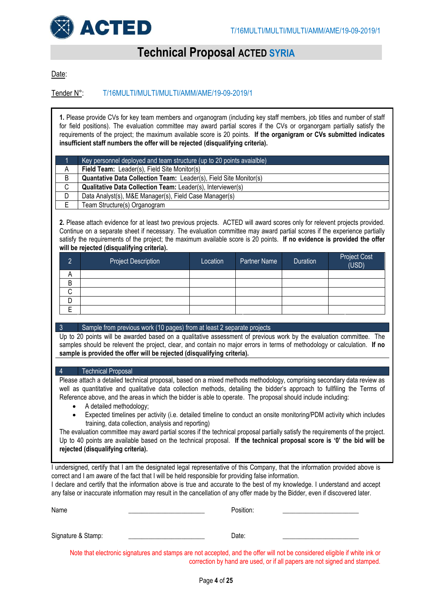

# **Technical Proposal ACTED SYRIA**

Date:

Tender N°: T/16MULTI/MULTI/MULTI/AMM/AME/19-09-2019/1

**1.** Please provide CVs for key team members and organogram (including key staff members, job titles and number of staff for field positions). The evaluation committee may award partial scores if the CVs or organorgam partially satisfy the requirements of the project; the maximum available score is 20 points. **If the organigram or CVs submitted indicates insufficient staff numbers the offer will be rejected (disqualifying criteria).**

|             | Key personnel deployed and team structure (up to 20 points avaialble) |
|-------------|-----------------------------------------------------------------------|
| A           | Field Team: Leader(s), Field Site Monitor(s)                          |
| B           | Quantative Data Collection Team: Leader(s), Field Site Monitor(s)     |
| $\sim$<br>◡ | <b>Qualitative Data Collection Team: Leader(s), Interviewer(s)</b>    |
| D           | Data Analyst(s), M&E Manager(s), Field Case Manager(s)                |
|             | Team Structure(s) Organogram                                          |

**2.** Please attach evidence for at least two previous projects. ACTED will award scores only for relevent projects provided. Continue on a separate sheet if necessary. The evaluation committee may award partial scores if the experience partially satisfy the requirements of the project; the maximum available score is 20 points. **If no evidence is provided the offer will be rejected (disqualifying criteria).**

| C           | <b>Project Description</b> | Location | Partner Name | Duration | <b>Project Cost</b><br>(USD) |
|-------------|----------------------------|----------|--------------|----------|------------------------------|
| A           |                            |          |              |          |                              |
| B           |                            |          |              |          |                              |
| $\sim$<br>U |                            |          |              |          |                              |
|             |                            |          |              |          |                              |
|             |                            |          |              |          |                              |

### 3 Sample from previous work (10 pages) from at least 2 separate projects

Up to 20 points will be awarded based on a qualitative assessment of previous work by the evaluation committee. The samples should be relevent the project, clear, and contain no major errors in terms of methodology or calculation. **If no sample is provided the offer will be rejected (disqualifying criteria).**

### 4 Technical Proposal

Please attach a detailed technical proposal, based on a mixed methods methodology, comprising secondary data review as well as quantitative and qualitative data collection methods, detailing the bidder's approach to fullfiling the Terms of Reference above, and the areas in which the bidder is able to operate. The proposal should include including:

- A detailed methodology;
- Expected timelines per activity (i.e. detailed timeline to conduct an onsite monitoring/PDM activity which includes training, data collection, analysis and reporting)

The evaluation committee may award partial scores if the technical proposal partially satisfy the requirements of the project. Up to 40 points are available based on the technical proposal. **If the technical proposal score is '0' the bid will be rejected (disqualifying criteria).**

I undersigned, certify that I am the designated legal representative of this Company, that the information provided above is correct and I am aware of the fact that I will be held responsible for providing false information.

I declare and certify that the information above is true and accurate to the best of my knowledge. I understand and accept any false or inaccurate information may result in the cancellation of any offer made by the Bidder, even if discovered later.

| Name               | Position: |  |
|--------------------|-----------|--|
| Signature & Stamp: | Date:     |  |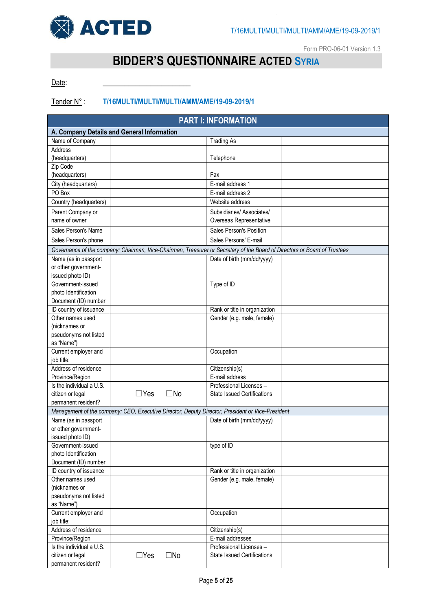

Form PRO-06-01 Version 1.3

# **BIDDER'S QUESTIONNAIRE ACTED SYRIA**

Date:

# Tender N° : **T/16MULTI/MULTI/MULTI/AMM/AME/19-09-2019/1**

| <b>PART I: INFORMATION</b>                 |            |              |                                                                                                                           |  |  |  |  |  |
|--------------------------------------------|------------|--------------|---------------------------------------------------------------------------------------------------------------------------|--|--|--|--|--|
| A. Company Details and General Information |            |              |                                                                                                                           |  |  |  |  |  |
| Name of Company                            |            |              | <b>Trading As</b>                                                                                                         |  |  |  |  |  |
| Address                                    |            |              |                                                                                                                           |  |  |  |  |  |
| (headquarters)                             |            |              | Telephone                                                                                                                 |  |  |  |  |  |
| Zip Code                                   |            |              |                                                                                                                           |  |  |  |  |  |
| (headquarters)                             |            |              | Fax                                                                                                                       |  |  |  |  |  |
| City (headquarters)                        |            |              | E-mail address 1                                                                                                          |  |  |  |  |  |
| PO Box                                     |            |              | E-mail address 2                                                                                                          |  |  |  |  |  |
| Country (headquarters)                     |            |              | Website address                                                                                                           |  |  |  |  |  |
| Parent Company or                          |            |              | Subsidiaries/Associates/                                                                                                  |  |  |  |  |  |
| name of owner                              |            |              | Overseas Representative                                                                                                   |  |  |  |  |  |
| Sales Person's Name                        |            |              | Sales Person's Position                                                                                                   |  |  |  |  |  |
| Sales Person's phone                       |            |              | Sales Persons' E-mail                                                                                                     |  |  |  |  |  |
|                                            |            |              | Governance of the company: Chairman, Vice-Chairman, Treasurer or Secretary of the Board of Directors or Board of Trustees |  |  |  |  |  |
| Name (as in passport                       |            |              | Date of birth (mm/dd/yyyy)                                                                                                |  |  |  |  |  |
| or other government-                       |            |              |                                                                                                                           |  |  |  |  |  |
| issued photo ID)                           |            |              |                                                                                                                           |  |  |  |  |  |
| Government-issued                          |            |              | Type of ID                                                                                                                |  |  |  |  |  |
| photo Identification                       |            |              |                                                                                                                           |  |  |  |  |  |
| Document (ID) number                       |            |              |                                                                                                                           |  |  |  |  |  |
| ID country of issuance                     |            |              | Rank or title in organization                                                                                             |  |  |  |  |  |
| Other names used                           |            |              | Gender (e.g. male, female)                                                                                                |  |  |  |  |  |
| (nicknames or                              |            |              |                                                                                                                           |  |  |  |  |  |
| pseudonyms not listed                      |            |              |                                                                                                                           |  |  |  |  |  |
| as "Name")                                 |            |              |                                                                                                                           |  |  |  |  |  |
| Current employer and                       |            |              | Occupation                                                                                                                |  |  |  |  |  |
| job title:                                 |            |              |                                                                                                                           |  |  |  |  |  |
| Address of residence                       |            |              | Citizenship(s)                                                                                                            |  |  |  |  |  |
| Province/Region                            |            |              | E-mail address                                                                                                            |  |  |  |  |  |
| Is the individual a U.S.                   |            |              | Professional Licenses -                                                                                                   |  |  |  |  |  |
| citizen or legal                           | $\Box$ Yes | $\square$ No | <b>State Issued Certifications</b>                                                                                        |  |  |  |  |  |
| permanent resident?                        |            |              |                                                                                                                           |  |  |  |  |  |
|                                            |            |              | Management of the company: CEO, Executive Director, Deputy Director, President or Vice-President                          |  |  |  |  |  |
| Name (as in passport                       |            |              | Date of birth (mm/dd/yyyy)                                                                                                |  |  |  |  |  |
| or other government-<br>issued photo ID)   |            |              |                                                                                                                           |  |  |  |  |  |
| Government-issued                          |            |              | type of ID                                                                                                                |  |  |  |  |  |
| photo Identification                       |            |              |                                                                                                                           |  |  |  |  |  |
| Document (ID) number                       |            |              |                                                                                                                           |  |  |  |  |  |
| ID country of issuance                     |            |              | Rank or title in organization                                                                                             |  |  |  |  |  |
| Other names used                           |            |              | Gender (e.g. male, female)                                                                                                |  |  |  |  |  |
| (nicknames or                              |            |              |                                                                                                                           |  |  |  |  |  |
| pseudonyms not listed                      |            |              |                                                                                                                           |  |  |  |  |  |
| as "Name")                                 |            |              |                                                                                                                           |  |  |  |  |  |
| Current employer and                       |            |              | Occupation                                                                                                                |  |  |  |  |  |
| job title:                                 |            |              |                                                                                                                           |  |  |  |  |  |
| Address of residence                       |            |              | Citizenship(s)                                                                                                            |  |  |  |  |  |
| Province/Region                            |            |              | E-mail addresses                                                                                                          |  |  |  |  |  |
| Is the individual a U.S.                   |            |              | Professional Licenses -                                                                                                   |  |  |  |  |  |
| citizen or legal                           | $\Box$ Yes | $\square$ No | <b>State Issued Certifications</b>                                                                                        |  |  |  |  |  |
| permanent resident?                        |            |              |                                                                                                                           |  |  |  |  |  |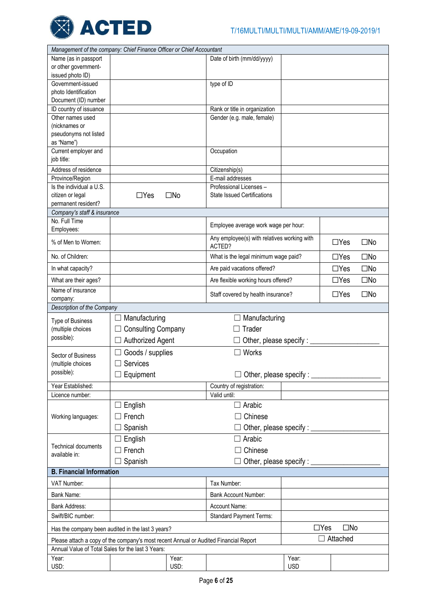

| Management of the company: Chief Finance Officer or Chief Accountant                                                                      |                                     |               |                                             |                               |                            |              |
|-------------------------------------------------------------------------------------------------------------------------------------------|-------------------------------------|---------------|---------------------------------------------|-------------------------------|----------------------------|--------------|
| Name (as in passport                                                                                                                      |                                     |               | Date of birth (mm/dd/yyyy)                  |                               |                            |              |
| or other government-                                                                                                                      |                                     |               |                                             |                               |                            |              |
| issued photo ID)                                                                                                                          |                                     |               |                                             |                               |                            |              |
| Government-issued                                                                                                                         |                                     |               | type of ID                                  |                               |                            |              |
| photo Identification                                                                                                                      |                                     |               |                                             |                               |                            |              |
| Document (ID) number                                                                                                                      |                                     |               |                                             |                               |                            |              |
| ID country of issuance                                                                                                                    |                                     |               | Rank or title in organization               |                               |                            |              |
| Other names used                                                                                                                          |                                     |               | Gender (e.g. male, female)                  |                               |                            |              |
| (nicknames or                                                                                                                             |                                     |               |                                             |                               |                            |              |
| pseudonyms not listed                                                                                                                     |                                     |               |                                             |                               |                            |              |
| as "Name")                                                                                                                                |                                     |               |                                             |                               |                            |              |
| Current employer and                                                                                                                      |                                     |               | Occupation                                  |                               |                            |              |
| job title:                                                                                                                                |                                     |               |                                             |                               |                            |              |
| Address of residence                                                                                                                      |                                     |               | Citizenship(s)                              |                               |                            |              |
| Province/Region                                                                                                                           |                                     |               | E-mail addresses                            |                               |                            |              |
| Is the individual a U.S.                                                                                                                  |                                     |               | Professional Licenses -                     |                               |                            |              |
| citizen or legal                                                                                                                          | $\Box$ Yes                          | $\square$ No  | <b>State Issued Certifications</b>          |                               |                            |              |
| permanent resident?                                                                                                                       |                                     |               |                                             |                               |                            |              |
| Company's staff & insurance                                                                                                               |                                     |               |                                             |                               |                            |              |
| No. Full Time                                                                                                                             |                                     |               | Employee average work wage per hour:        |                               |                            |              |
| Employees:                                                                                                                                |                                     |               | Any employee(s) with relatives working with |                               |                            |              |
| % of Men to Women:                                                                                                                        |                                     |               | ACTED?                                      |                               | $\Box$ Yes                 | $\square$ No |
| No. of Children:                                                                                                                          |                                     |               | What is the legal minimum wage paid?        |                               | $\Box$ Yes                 | $\square$ No |
| In what capacity?                                                                                                                         | Are paid vacations offered?         |               |                                             |                               |                            |              |
| What are their ages?                                                                                                                      | Are flexible working hours offered? |               |                                             |                               |                            | $\square$ No |
| Name of insurance                                                                                                                         |                                     |               | Staff covered by health insurance?          |                               | $\Box$ Yes                 | $\square$ No |
| company:                                                                                                                                  |                                     |               |                                             |                               |                            |              |
|                                                                                                                                           |                                     |               |                                             |                               |                            |              |
| Description of the Company                                                                                                                |                                     |               |                                             |                               |                            |              |
| <b>Type of Business</b>                                                                                                                   | Manufacturing                       |               | Manufacturing                               |                               |                            |              |
| (multiple choices                                                                                                                         | <b>Consulting Company</b>           |               | Trader                                      |                               |                            |              |
| possible):                                                                                                                                |                                     |               |                                             |                               |                            |              |
|                                                                                                                                           | Authorized Agent                    |               |                                             | Other, please specify : _____ |                            |              |
| Sector of Business                                                                                                                        | Goods / supplies                    |               | Works<br>$\mathbf{L}$                       |                               |                            |              |
| (multiple choices                                                                                                                         | Services<br>$\mathbf{L}$            |               |                                             |                               |                            |              |
| possible):                                                                                                                                |                                     |               |                                             |                               |                            |              |
|                                                                                                                                           | $\Box$ Equipment                    |               | Other, please specify:                      |                               |                            |              |
| Year Established:                                                                                                                         |                                     |               | Country of registration:                    |                               |                            |              |
| Licence number:                                                                                                                           |                                     |               | Valid until:                                |                               |                            |              |
|                                                                                                                                           | $\Box$ English                      |               | $\Box$ Arabic                               |                               |                            |              |
| Working languages:                                                                                                                        | French                              |               | $\Box$ Chinese                              |                               |                            |              |
|                                                                                                                                           | Spanish                             |               | Other, please specify : _                   |                               |                            |              |
|                                                                                                                                           |                                     |               |                                             |                               |                            |              |
| Technical documents                                                                                                                       | English                             |               | Arabic<br>$\mathsf{L}$                      |                               |                            |              |
| available in:                                                                                                                             | $\Box$ French                       |               | Chinese                                     |                               |                            |              |
|                                                                                                                                           | Spanish                             |               | Other, please specify :                     |                               |                            |              |
| <b>B. Financial Information</b>                                                                                                           |                                     |               |                                             |                               |                            |              |
| VAT Number:                                                                                                                               |                                     |               | Tax Number:                                 |                               |                            |              |
| Bank Name:                                                                                                                                |                                     |               | <b>Bank Account Number:</b>                 |                               |                            |              |
| <b>Bank Address:</b>                                                                                                                      |                                     |               | Account Name:                               |                               |                            |              |
| Swift/BIC number:                                                                                                                         |                                     |               | <b>Standard Payment Terms:</b>              |                               |                            |              |
| Has the company been audited in the last 3 years?                                                                                         |                                     |               |                                             |                               | $\square$ No<br>$\Box$ Yes |              |
|                                                                                                                                           |                                     |               |                                             |                               | Attached                   |              |
| Please attach a copy of the company's most recent Annual or Audited Financial Report<br>Annual Value of Total Sales for the last 3 Years: |                                     |               |                                             |                               |                            |              |
| Year:<br>USD:                                                                                                                             |                                     | Year:<br>USD: |                                             | Year:<br><b>USD</b>           |                            |              |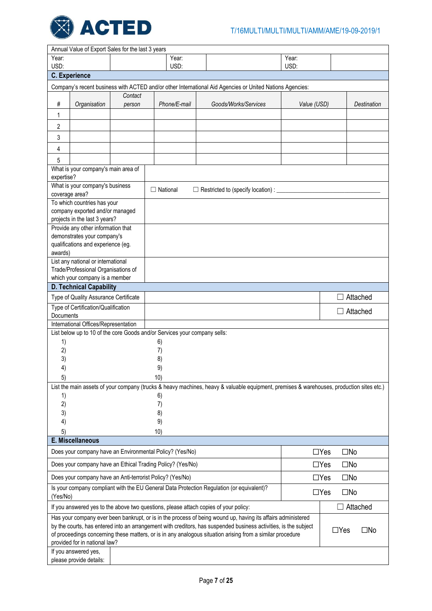

|                | Annual Value of Export Sales for the last 3 years         |         |  |                                                                           |                                                                                                                                                                                                                                                                                                                                                |             |            |                    |  |
|----------------|-----------------------------------------------------------|---------|--|---------------------------------------------------------------------------|------------------------------------------------------------------------------------------------------------------------------------------------------------------------------------------------------------------------------------------------------------------------------------------------------------------------------------------------|-------------|------------|--------------------|--|
| Year:          |                                                           |         |  | Year:                                                                     |                                                                                                                                                                                                                                                                                                                                                | Year:       |            |                    |  |
| USD:           |                                                           |         |  | USD:                                                                      |                                                                                                                                                                                                                                                                                                                                                | USD:        |            |                    |  |
|                | <b>C.</b> Experience                                      |         |  |                                                                           |                                                                                                                                                                                                                                                                                                                                                |             |            |                    |  |
|                |                                                           |         |  |                                                                           | Company's recent business with ACTED and/or other International Aid Agencies or United Nations Agencies:                                                                                                                                                                                                                                       |             |            |                    |  |
|                |                                                           | Contact |  |                                                                           |                                                                                                                                                                                                                                                                                                                                                |             |            |                    |  |
| #              | Organisation                                              | person  |  | Phone/E-mail                                                              | Goods/Works/Services                                                                                                                                                                                                                                                                                                                           | Value (USD) |            | <b>Destination</b> |  |
| 1              |                                                           |         |  |                                                                           |                                                                                                                                                                                                                                                                                                                                                |             |            |                    |  |
| 2              |                                                           |         |  |                                                                           |                                                                                                                                                                                                                                                                                                                                                |             |            |                    |  |
| 3              |                                                           |         |  |                                                                           |                                                                                                                                                                                                                                                                                                                                                |             |            |                    |  |
| 4              |                                                           |         |  |                                                                           |                                                                                                                                                                                                                                                                                                                                                |             |            |                    |  |
|                |                                                           |         |  |                                                                           |                                                                                                                                                                                                                                                                                                                                                |             |            |                    |  |
| 5              |                                                           |         |  |                                                                           |                                                                                                                                                                                                                                                                                                                                                |             |            |                    |  |
| expertise?     | What is your company's main area of                       |         |  |                                                                           |                                                                                                                                                                                                                                                                                                                                                |             |            |                    |  |
|                | What is your company's business                           |         |  |                                                                           |                                                                                                                                                                                                                                                                                                                                                |             |            |                    |  |
| coverage area? |                                                           |         |  | $\Box$ National                                                           | □ Restricted to (specify location) : _____                                                                                                                                                                                                                                                                                                     |             |            |                    |  |
|                | To which countries has your                               |         |  |                                                                           |                                                                                                                                                                                                                                                                                                                                                |             |            |                    |  |
|                | company exported and/or managed                           |         |  |                                                                           |                                                                                                                                                                                                                                                                                                                                                |             |            |                    |  |
|                | projects in the last 3 years?                             |         |  |                                                                           |                                                                                                                                                                                                                                                                                                                                                |             |            |                    |  |
|                | Provide any other information that                        |         |  |                                                                           |                                                                                                                                                                                                                                                                                                                                                |             |            |                    |  |
|                | demonstrates your company's                               |         |  |                                                                           |                                                                                                                                                                                                                                                                                                                                                |             |            |                    |  |
| awards)        | qualifications and experience (eg.                        |         |  |                                                                           |                                                                                                                                                                                                                                                                                                                                                |             |            |                    |  |
|                | List any national or international                        |         |  |                                                                           |                                                                                                                                                                                                                                                                                                                                                |             |            |                    |  |
|                | Trade/Professional Organisations of                       |         |  |                                                                           |                                                                                                                                                                                                                                                                                                                                                |             |            |                    |  |
|                | which your company is a member                            |         |  |                                                                           |                                                                                                                                                                                                                                                                                                                                                |             |            |                    |  |
|                | <b>D. Technical Capability</b>                            |         |  |                                                                           |                                                                                                                                                                                                                                                                                                                                                |             |            |                    |  |
|                | Type of Quality Assurance Certificate                     |         |  |                                                                           |                                                                                                                                                                                                                                                                                                                                                |             |            | Attached           |  |
|                | Type of Certification/Qualification                       |         |  |                                                                           |                                                                                                                                                                                                                                                                                                                                                |             |            |                    |  |
| Documents      |                                                           |         |  |                                                                           |                                                                                                                                                                                                                                                                                                                                                |             |            | $\Box$ Attached    |  |
|                | International Offices/Representation                      |         |  |                                                                           |                                                                                                                                                                                                                                                                                                                                                |             |            |                    |  |
|                |                                                           |         |  | List below up to 10 of the core Goods and/or Services your company sells: |                                                                                                                                                                                                                                                                                                                                                |             |            |                    |  |
| 1)             |                                                           |         |  | 6)                                                                        |                                                                                                                                                                                                                                                                                                                                                |             |            |                    |  |
| 2)             |                                                           |         |  | 7)                                                                        |                                                                                                                                                                                                                                                                                                                                                |             |            |                    |  |
| 3)             |                                                           |         |  | 8)                                                                        |                                                                                                                                                                                                                                                                                                                                                |             |            |                    |  |
| 4)             |                                                           |         |  | 9)                                                                        |                                                                                                                                                                                                                                                                                                                                                |             |            |                    |  |
| 5)             |                                                           |         |  | 10)                                                                       |                                                                                                                                                                                                                                                                                                                                                |             |            |                    |  |
|                |                                                           |         |  |                                                                           | List the main assets of your company (trucks & heavy machines, heavy & valuable equipment, premises & warehouses, production sites etc.)                                                                                                                                                                                                       |             |            |                    |  |
| 1)<br>2)       |                                                           |         |  | 6)                                                                        |                                                                                                                                                                                                                                                                                                                                                |             |            |                    |  |
| 3)             |                                                           |         |  | 7)<br>8)                                                                  |                                                                                                                                                                                                                                                                                                                                                |             |            |                    |  |
| 4)             |                                                           |         |  | 9)                                                                        |                                                                                                                                                                                                                                                                                                                                                |             |            |                    |  |
| 5)             |                                                           |         |  | 10)                                                                       |                                                                                                                                                                                                                                                                                                                                                |             |            |                    |  |
|                | E. Miscellaneous                                          |         |  |                                                                           |                                                                                                                                                                                                                                                                                                                                                |             |            |                    |  |
|                |                                                           |         |  | Does your company have an Environmental Policy? (Yes/No)                  |                                                                                                                                                                                                                                                                                                                                                |             | $\Box$ Yes | $\square$ No       |  |
|                |                                                           |         |  | Does your company have an Ethical Trading Policy? (Yes/No)                |                                                                                                                                                                                                                                                                                                                                                |             | $\Box$ Yes | $\square$ No       |  |
|                | Does your company have an Anti-terrorist Policy? (Yes/No) |         |  |                                                                           |                                                                                                                                                                                                                                                                                                                                                |             | $\Box$ Yes | $\square$ No       |  |
|                |                                                           |         |  |                                                                           | Is your company compliant with the EU General Data Protection Regulation (or equivalent)?                                                                                                                                                                                                                                                      |             |            |                    |  |
| (Yes/No)       |                                                           |         |  |                                                                           |                                                                                                                                                                                                                                                                                                                                                |             | $\Box$ Yes | $\square$ No       |  |
|                |                                                           |         |  |                                                                           | If you answered yes to the above two questions, please attach copies of your policy:                                                                                                                                                                                                                                                           |             |            | $\Box$ Attached    |  |
|                | provided for in national law?                             |         |  |                                                                           | Has your company ever been bankrupt, or is in the process of being wound up, having its affairs administered<br>by the courts, has entered into an arrangement with creditors, has suspended business activities, is the subject<br>of proceedings concerning these matters, or is in any analogous situation arising from a similar procedure |             | $\Box$ Yes | $\square$ No       |  |
|                | If you answered yes,<br>please provide details:           |         |  |                                                                           |                                                                                                                                                                                                                                                                                                                                                |             |            |                    |  |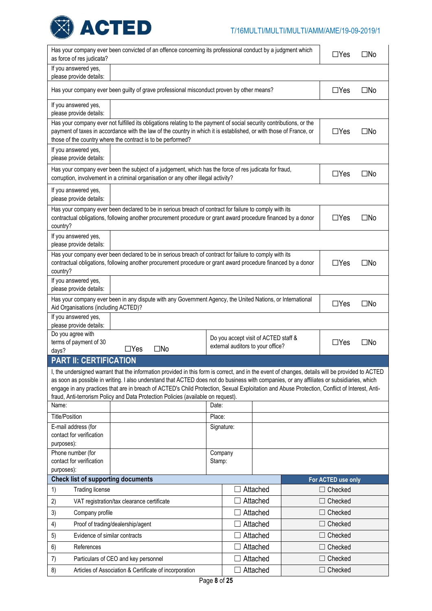

| Has your company ever been convicted of an offence concerning its professional conduct by a judgment which<br>as force of res judicata? |                                                                                                                                                                                                                                                                                                                                                                                                                                                                                                                                      |          |                                      |          |                |                                      | $\square$ No |  |  |
|-----------------------------------------------------------------------------------------------------------------------------------------|--------------------------------------------------------------------------------------------------------------------------------------------------------------------------------------------------------------------------------------------------------------------------------------------------------------------------------------------------------------------------------------------------------------------------------------------------------------------------------------------------------------------------------------|----------|--------------------------------------|----------|----------------|--------------------------------------|--------------|--|--|
| If you answered yes,<br>please provide details:                                                                                         |                                                                                                                                                                                                                                                                                                                                                                                                                                                                                                                                      |          |                                      |          |                |                                      |              |  |  |
|                                                                                                                                         | Has your company ever been guilty of grave professional misconduct proven by other means?                                                                                                                                                                                                                                                                                                                                                                                                                                            |          |                                      |          |                | $\Box$ Yes                           | $\square$ No |  |  |
| If you answered yes,<br>please provide details:                                                                                         |                                                                                                                                                                                                                                                                                                                                                                                                                                                                                                                                      |          |                                      |          |                |                                      |              |  |  |
|                                                                                                                                         | Has your company ever not fulfilled its obligations relating to the payment of social security contributions, or the                                                                                                                                                                                                                                                                                                                                                                                                                 |          |                                      |          |                |                                      |              |  |  |
|                                                                                                                                         | payment of taxes in accordance with the law of the country in which it is established, or with those of France, or<br>$\Box$ Yes<br>$\square$ No<br>those of the country where the contract is to be performed?                                                                                                                                                                                                                                                                                                                      |          |                                      |          |                |                                      |              |  |  |
| If you answered yes,                                                                                                                    |                                                                                                                                                                                                                                                                                                                                                                                                                                                                                                                                      |          |                                      |          |                |                                      |              |  |  |
| please provide details:                                                                                                                 |                                                                                                                                                                                                                                                                                                                                                                                                                                                                                                                                      |          |                                      |          |                |                                      |              |  |  |
|                                                                                                                                         | Has your company ever been the subject of a judgement, which has the force of res judicata for fraud,<br>corruption, involvement in a criminal organisation or any other illegal activity?                                                                                                                                                                                                                                                                                                                                           |          |                                      |          |                | $\Box$ Yes                           | $\square$ No |  |  |
| If you answered yes,<br>please provide details:                                                                                         |                                                                                                                                                                                                                                                                                                                                                                                                                                                                                                                                      |          |                                      |          |                |                                      |              |  |  |
| country?                                                                                                                                | Has your company ever been declared to be in serious breach of contract for failure to comply with its<br>contractual obligations, following another procurement procedure or grant award procedure financed by a donor                                                                                                                                                                                                                                                                                                              |          |                                      |          |                | $\Box$ Yes                           | $\square$ No |  |  |
| If you answered yes,<br>please provide details:                                                                                         |                                                                                                                                                                                                                                                                                                                                                                                                                                                                                                                                      |          |                                      |          |                |                                      |              |  |  |
| country?                                                                                                                                | Has your company ever been declared to be in serious breach of contract for failure to comply with its<br>contractual obligations, following another procurement procedure or grant award procedure financed by a donor                                                                                                                                                                                                                                                                                                              |          |                                      |          |                | $\Box$ Yes                           | $\square$ No |  |  |
| If you answered yes,<br>please provide details:                                                                                         |                                                                                                                                                                                                                                                                                                                                                                                                                                                                                                                                      |          |                                      |          |                |                                      |              |  |  |
| Aid Organisations (including ACTED)?                                                                                                    | Has your company ever been in any dispute with any Government Agency, the United Nations, or International                                                                                                                                                                                                                                                                                                                                                                                                                           |          |                                      |          |                | $\Box$ Yes                           | $\square$ No |  |  |
| If you answered yes,<br>please provide details:                                                                                         |                                                                                                                                                                                                                                                                                                                                                                                                                                                                                                                                      |          |                                      |          |                |                                      |              |  |  |
| Do you agree with                                                                                                                       |                                                                                                                                                                                                                                                                                                                                                                                                                                                                                                                                      |          | Do you accept visit of ACTED staff & |          |                |                                      |              |  |  |
| terms of payment of 30<br>days?                                                                                                         | $\Box$ Yes<br>$\square$ No                                                                                                                                                                                                                                                                                                                                                                                                                                                                                                           |          | external auditors to your office?    |          |                | $\Box$ Yes                           | $\square$ No |  |  |
| <b>PART II: CERTIFICATION</b>                                                                                                           |                                                                                                                                                                                                                                                                                                                                                                                                                                                                                                                                      |          |                                      |          |                |                                      |              |  |  |
| Name:                                                                                                                                   | I, the undersigned warrant that the information provided in this form is correct, and in the event of changes, details will be provided to ACTED<br>as soon as possible in writing. I also understand that ACTED does not do business with companies, or any affiliates or subsidiaries, which<br>engage in any practices that are in breach of ACTED's Child Protection, Sexual Exploitation and Abuse Protection, Conflict of Interest, Anti-<br>fraud, Anti-terrorism Policy and Data Protection Policies (available on request). | Date:    |                                      |          |                |                                      |              |  |  |
| <b>Title/Position</b>                                                                                                                   |                                                                                                                                                                                                                                                                                                                                                                                                                                                                                                                                      | Place:   |                                      |          |                |                                      |              |  |  |
| E-mail address (for                                                                                                                     |                                                                                                                                                                                                                                                                                                                                                                                                                                                                                                                                      |          | Signature:                           |          |                |                                      |              |  |  |
| contact for verification<br>purposes):                                                                                                  |                                                                                                                                                                                                                                                                                                                                                                                                                                                                                                                                      |          |                                      |          |                |                                      |              |  |  |
| Phone number (for                                                                                                                       |                                                                                                                                                                                                                                                                                                                                                                                                                                                                                                                                      | Company  |                                      |          |                |                                      |              |  |  |
| contact for verification                                                                                                                |                                                                                                                                                                                                                                                                                                                                                                                                                                                                                                                                      | Stamp:   |                                      |          |                |                                      |              |  |  |
| purposes):                                                                                                                              |                                                                                                                                                                                                                                                                                                                                                                                                                                                                                                                                      |          |                                      |          |                |                                      |              |  |  |
| <b>Check list of supporting documents</b><br><b>Trading license</b><br>1)                                                               |                                                                                                                                                                                                                                                                                                                                                                                                                                                                                                                                      |          |                                      | Attached |                | For ACTED use only<br>$\Box$ Checked |              |  |  |
| 2)                                                                                                                                      | VAT registration/tax clearance certificate                                                                                                                                                                                                                                                                                                                                                                                                                                                                                           |          |                                      | Attached |                | $\Box$ Checked                       |              |  |  |
| 3)<br>Company profile                                                                                                                   |                                                                                                                                                                                                                                                                                                                                                                                                                                                                                                                                      |          |                                      | Attached |                | Checked                              |              |  |  |
| 4)                                                                                                                                      | Proof of trading/dealership/agent                                                                                                                                                                                                                                                                                                                                                                                                                                                                                                    |          |                                      | Attached |                | $\Box$ Checked                       |              |  |  |
| 5)<br>Evidence of similar contracts                                                                                                     |                                                                                                                                                                                                                                                                                                                                                                                                                                                                                                                                      |          |                                      | Attached |                | $\Box$ Checked                       |              |  |  |
| References<br>6)                                                                                                                        |                                                                                                                                                                                                                                                                                                                                                                                                                                                                                                                                      |          |                                      | Attached |                | $\Box$ Checked                       |              |  |  |
| 7)                                                                                                                                      | Particulars of CEO and key personnel                                                                                                                                                                                                                                                                                                                                                                                                                                                                                                 |          |                                      | Attached |                | $\Box$ Checked                       |              |  |  |
| 8)<br>Articles of Association & Certificate of incorporation                                                                            |                                                                                                                                                                                                                                                                                                                                                                                                                                                                                                                                      | Attached |                                      |          | $\Box$ Checked |                                      |              |  |  |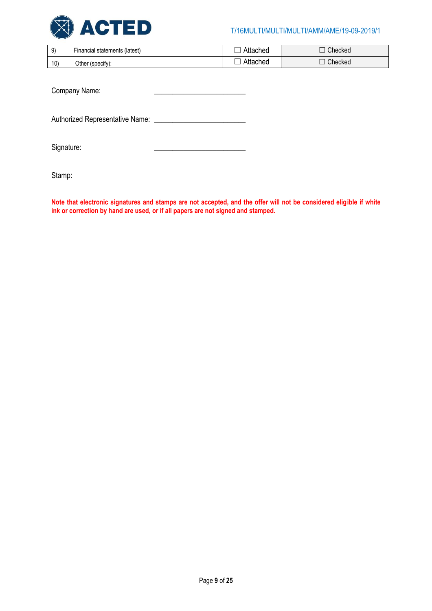

| 9)              | Financial statements (latest) | ∖ttached | Checked |
|-----------------|-------------------------------|----------|---------|
| 10 <sup>5</sup> | Other<br>(specify):           | ttacheo  | Checked |

Company Name:

Authorized Representative Name: \_\_\_\_\_\_\_\_\_\_\_\_\_\_\_\_\_\_\_\_\_\_\_\_\_

Signature:

Stamp: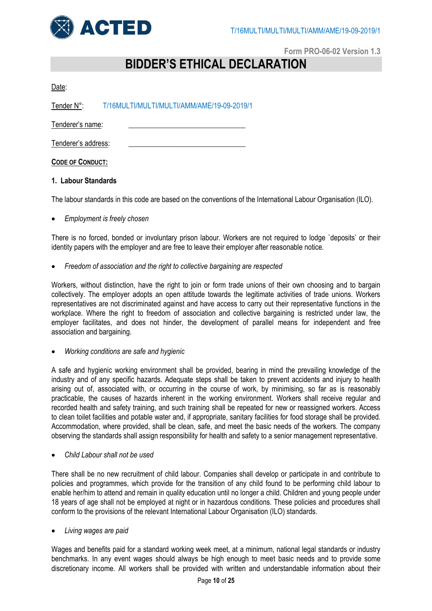

# **Form PRO-06-02 Version 1.3**

# **BIDDER'S ETHICAL DECLARATION**

| ٦ |
|---|
|---|

Tender N°: T/16MULTI/MULTI/MULTI/AMM/AME/19-09-2019/1

Tenderer's name:

Tenderer's address:

**CODE OF CONDUCT:**

# **1. Labour Standards**

The labour standards in this code are based on the conventions of the International Labour Organisation (ILO).

# *Employment is freely chosen*

There is no forced, bonded or involuntary prison labour. Workers are not required to lodge `deposits' or their identity papers with the employer and are free to leave their employer after reasonable notice.

*Freedom of association and the right to collective bargaining are respected*

Workers, without distinction, have the right to join or form trade unions of their own choosing and to bargain collectively. The employer adopts an open attitude towards the legitimate activities of trade unions. Workers representatives are not discriminated against and have access to carry out their representative functions in the workplace. Where the right to freedom of association and collective bargaining is restricted under law, the employer facilitates, and does not hinder, the development of parallel means for independent and free association and bargaining.

*Working conditions are safe and hygienic*

A safe and hygienic working environment shall be provided, bearing in mind the prevailing knowledge of the industry and of any specific hazards. Adequate steps shall be taken to prevent accidents and injury to health arising out of, associated with, or occurring in the course of work, by minimising, so far as is reasonably practicable, the causes of hazards inherent in the working environment. Workers shall receive regular and recorded health and safety training, and such training shall be repeated for new or reassigned workers. Access to clean toilet facilities and potable water and, if appropriate, sanitary facilities for food storage shall be provided. Accommodation, where provided, shall be clean, safe, and meet the basic needs of the workers. The company observing the standards shall assign responsibility for health and safety to a senior management representative.

*Child Labour shall not be used*

There shall be no new recruitment of child labour. Companies shall develop or participate in and contribute to policies and programmes, which provide for the transition of any child found to be performing child labour to enable her/him to attend and remain in quality education until no longer a child. Children and young people under 18 years of age shall not be employed at night or in hazardous conditions. These policies and procedures shall conform to the provisions of the relevant International Labour Organisation (ILO) standards.

*Living wages are paid*

Wages and benefits paid for a standard working week meet, at a minimum, national legal standards or industry benchmarks. In any event wages should always be high enough to meet basic needs and to provide some discretionary income. All workers shall be provided with written and understandable information about their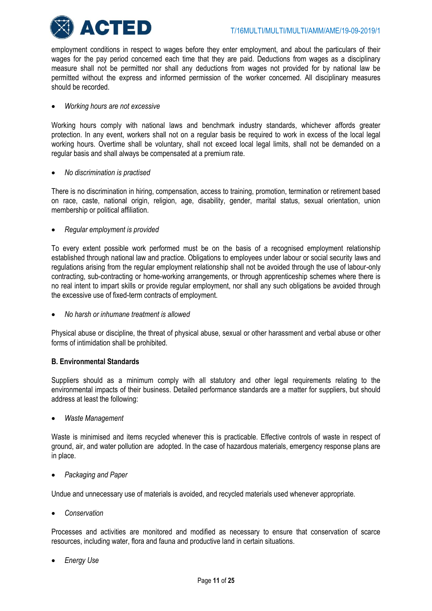

employment conditions in respect to wages before they enter employment, and about the particulars of their wages for the pay period concerned each time that they are paid. Deductions from wages as a disciplinary measure shall not be permitted nor shall any deductions from wages not provided for by national law be permitted without the express and informed permission of the worker concerned. All disciplinary measures should be recorded.

# *Working hours are not excessive*

Working hours comply with national laws and benchmark industry standards, whichever affords greater protection. In any event, workers shall not on a regular basis be required to work in excess of the local legal working hours. Overtime shall be voluntary, shall not exceed local legal limits, shall not be demanded on a regular basis and shall always be compensated at a premium rate.

# *No discrimination is practised*

There is no discrimination in hiring, compensation, access to training, promotion, termination or retirement based on race, caste, national origin, religion, age, disability, gender, marital status, sexual orientation, union membership or political affiliation.

*Regular employment is provided*

To every extent possible work performed must be on the basis of a recognised employment relationship established through national law and practice. Obligations to employees under labour or social security laws and regulations arising from the regular employment relationship shall not be avoided through the use of labour-only contracting, sub-contracting or home-working arrangements, or through apprenticeship schemes where there is no real intent to impart skills or provide regular employment, nor shall any such obligations be avoided through the excessive use of fixed-term contracts of employment.

*No harsh or inhumane treatment is allowed*

Physical abuse or discipline, the threat of physical abuse, sexual or other harassment and verbal abuse or other forms of intimidation shall be prohibited.

# **B. Environmental Standards**

Suppliers should as a minimum comply with all statutory and other legal requirements relating to the environmental impacts of their business. Detailed performance standards are a matter for suppliers, but should address at least the following:

*Waste Management*

Waste is minimised and items recycled whenever this is practicable. Effective controls of waste in respect of ground, air, and water pollution are adopted. In the case of hazardous materials, emergency response plans are in place.

*Packaging and Paper*

Undue and unnecessary use of materials is avoided, and recycled materials used whenever appropriate.

*Conservation*

Processes and activities are monitored and modified as necessary to ensure that conservation of scarce resources, including water, flora and fauna and productive land in certain situations.

*Energy Use*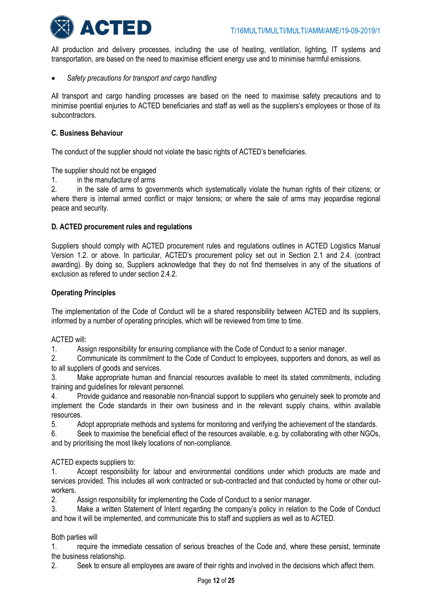

All production and delivery processes, including the use of heating, ventilation, lighting, IT systems and transportation, are based on the need to maximise efficient energy use and to minimise harmful emissions.

*Safety precautions for transport and cargo handling*

All transport and cargo handling processes are based on the need to maximise safety precautions and to minimise poential enjuries to ACTED beneficiaries and staff as well as the suppliers's employees or those of its subcontractors.

# **C. Business Behaviour**

The conduct of the supplier should not violate the basic rights of ACTED's beneficiaries.

The supplier should not be engaged

1. in the manufacture of arms

2. in the sale of arms to governments which systematically violate the human rights of their citizens; or where there is internal armed conflict or major tensions; or where the sale of arms may jeopardise regional peace and security.

# **D. ACTED procurement rules and regulations**

Suppliers should comply with ACTED procurement rules and regulations outlines in ACTED Logistics Manual Version 1.2. or above. In particular, ACTED's procurement policy set out in Section 2.1 and 2.4. (contract awarding). By doing so, Suppliers acknowledge that they do not find themselves in any of the situations of exclusion as refered to under section 2.4.2.

# **Operating Principles**

The implementation of the Code of Conduct will be a shared responsibility between ACTED and its suppliers, informed by a number of operating principles, which will be reviewed from time to time.

# ACTED will:

1. Assign responsibility for ensuring compliance with the Code of Conduct to a senior manager.

2. Communicate its commitment to the Code of Conduct to employees, supporters and donors, as well as to all suppliers of goods and services.

3. Make appropriate human and financial resources available to meet its stated commitments, including training and guidelines for relevant personnel.

4. Provide guidance and reasonable non-financial support to suppliers who genuinely seek to promote and implement the Code standards in their own business and in the relevant supply chains, within available resources.

5. Adopt appropriate methods and systems for monitoring and verifying the achievement of the standards.

6. Seek to maximise the beneficial effect of the resources available, e.g. by collaborating with other NGOs, and by prioritising the most likely locations of non-compliance.

# ACTED expects suppliers to:

1. Accept responsibility for labour and environmental conditions under which products are made and services provided. This includes all work contracted or sub-contracted and that conducted by home or other outworkers.

2. Assign responsibility for implementing the Code of Conduct to a senior manager.

3. Make a written Statement of Intent regarding the company's policy in relation to the Code of Conduct and how it will be implemented, and communicate this to staff and suppliers as well as to ACTED.

# Both parties will

1. require the immediate cessation of serious breaches of the Code and, where these persist, terminate the business relationship.

2. Seek to ensure all employees are aware of their rights and involved in the decisions which affect them.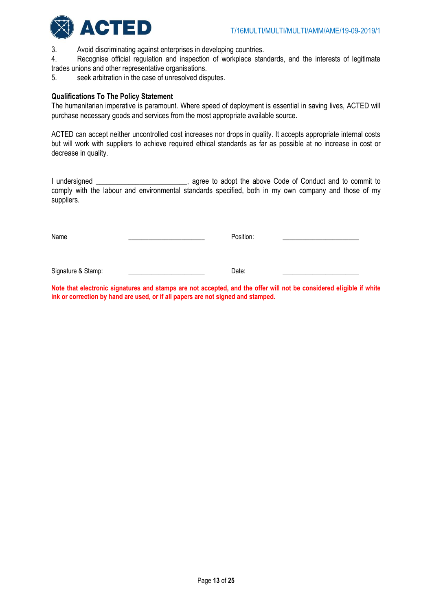

3. Avoid discriminating against enterprises in developing countries.

4. Recognise official regulation and inspection of workplace standards, and the interests of legitimate trades unions and other representative organisations.

5. seek arbitration in the case of unresolved disputes.

### **Qualifications To The Policy Statement**

The humanitarian imperative is paramount. Where speed of deployment is essential in saving lives, ACTED will purchase necessary goods and services from the most appropriate available source.

ACTED can accept neither uncontrolled cost increases nor drops in quality. It accepts appropriate internal costs but will work with suppliers to achieve required ethical standards as far as possible at no increase in cost or decrease in quality.

I undersigned \_\_\_\_\_\_\_\_\_\_\_\_\_\_\_\_\_\_\_\_\_\_\_\_, agree to adopt the above Code of Conduct and to commit to comply with the labour and environmental standards specified, both in my own company and those of my suppliers.

Name \_\_\_\_\_\_\_\_\_\_\_\_\_\_\_\_\_\_\_\_\_\_\_ Position: \_\_\_\_\_\_\_\_\_\_\_\_\_\_\_\_\_\_\_\_\_\_\_\_\_\_

Signature & Stamp: \_\_\_\_\_\_\_\_\_\_\_\_\_\_\_\_\_\_\_\_\_\_\_ Date: \_\_\_\_\_\_\_\_\_\_\_\_\_\_\_\_\_\_\_\_\_\_\_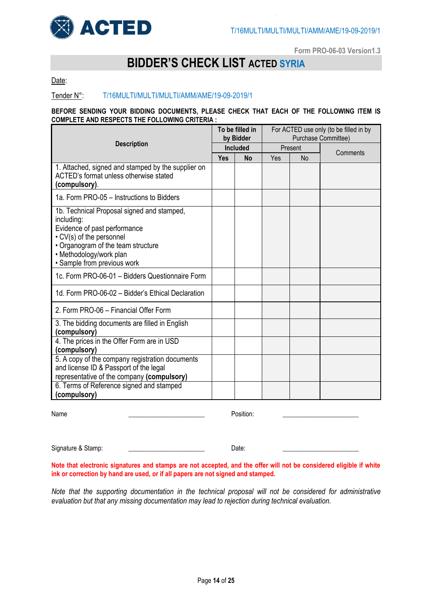

**Form PRO-06-03 Version1.3**

# **BIDDER'S CHECK LIST ACTED SYRIA**

Date:

# Tender N°: T/16MULTI/MULTI/MULTI/AMM/AME/19-09-2019/1

### **BEFORE SENDING YOUR BIDDING DOCUMENTS, PLEASE CHECK THAT EACH OF THE FOLLOWING ITEM IS COMPLETE AND RESPECTS THE FOLLOWING CRITERIA :**

|                                                                                                                                                                                                                      |                 | To be filled in<br>by Bidder |         | For ACTED use only (to be filled in by<br>Purchase Committee) |          |  |  |
|----------------------------------------------------------------------------------------------------------------------------------------------------------------------------------------------------------------------|-----------------|------------------------------|---------|---------------------------------------------------------------|----------|--|--|
| <b>Description</b>                                                                                                                                                                                                   | <b>Included</b> |                              | Present |                                                               |          |  |  |
|                                                                                                                                                                                                                      | <b>Yes</b>      | <b>No</b>                    | Yes     | N <sub>o</sub>                                                | Comments |  |  |
| 1. Attached, signed and stamped by the supplier on<br>ACTED's format unless otherwise stated<br>(compulsory).                                                                                                        |                 |                              |         |                                                               |          |  |  |
| 1a. Form PRO-05 - Instructions to Bidders                                                                                                                                                                            |                 |                              |         |                                                               |          |  |  |
| 1b. Technical Proposal signed and stamped,<br>including:<br>Evidence of past performance<br>• CV(s) of the personnel<br>• Organogram of the team structure<br>• Methodology/work plan<br>• Sample from previous work |                 |                              |         |                                                               |          |  |  |
| 1c. Form PRO-06-01 - Bidders Questionnaire Form                                                                                                                                                                      |                 |                              |         |                                                               |          |  |  |
| 1d. Form PRO-06-02 - Bidder's Ethical Declaration                                                                                                                                                                    |                 |                              |         |                                                               |          |  |  |
| 2. Form PRO-06 - Financial Offer Form                                                                                                                                                                                |                 |                              |         |                                                               |          |  |  |
| 3. The bidding documents are filled in English<br>(compulsory)                                                                                                                                                       |                 |                              |         |                                                               |          |  |  |
| 4. The prices in the Offer Form are in USD<br>(compulsory)                                                                                                                                                           |                 |                              |         |                                                               |          |  |  |
| 5. A copy of the company registration documents<br>and license ID & Passport of the legal<br>representative of the company (compulsory)                                                                              |                 |                              |         |                                                               |          |  |  |
| 6. Terms of Reference signed and stamped<br>(compulsory)                                                                                                                                                             |                 |                              |         |                                                               |          |  |  |

Name \_\_\_\_\_\_\_\_\_\_\_\_\_\_\_\_\_\_\_\_\_\_\_ Position: \_\_\_\_\_\_\_\_\_\_\_\_\_\_\_\_\_\_\_\_\_\_\_\_\_\_

Signature & Stamp: \_\_\_\_\_\_\_\_\_\_\_\_\_\_\_\_\_\_\_\_\_\_\_ Date: \_\_\_\_\_\_\_\_\_\_\_\_\_\_\_\_\_\_\_\_\_\_\_

**Note that electronic signatures and stamps are not accepted, and the offer will not be considered eligible if white ink or correction by hand are used, or if all papers are not signed and stamped.**

*Note that the supporting documentation in the technical proposal will not be considered for administrative evaluation but that any missing documentation may lead to rejection during technical evaluation.*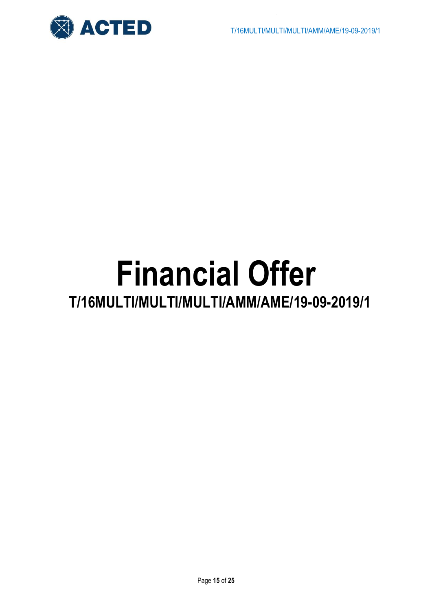

# **Financial Offer**

# **T/16MULTI/MULTI/MULTI/AMM/AME/19-09-2019/1**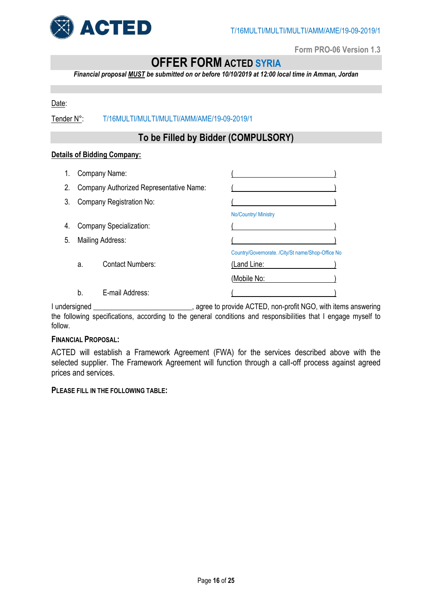

**Form PRO-06 Version 1.3**

# **OFFER FORM ACTED SYRIA**

*Financial proposal MUST be submitted on or before 10/10/2019 at 12:00 local time in Amman, Jordan*

# Date:

Tender N°: T/16MULTI/MULTI/MULTI/AMM/AME/19-09-2019/1

# **To be Filled by Bidder (COMPULSORY)**

# **Details of Bidding Company:**

| 1. | Company Name:                           |                                |                                                   |
|----|-----------------------------------------|--------------------------------|---------------------------------------------------|
| 2. | Company Authorized Representative Name: |                                |                                                   |
| 3. | Company Registration No:                |                                |                                                   |
|    |                                         |                                | No/Country/ Ministry                              |
| 4. |                                         | <b>Company Specialization:</b> |                                                   |
| 5. | Mailing Address:                        |                                |                                                   |
|    |                                         |                                | Country/Governorate. /City/St name/Shop-Office No |
|    | a.                                      | <b>Contact Numbers:</b>        | (Land Line:                                       |
|    |                                         |                                | (Mobile No:                                       |
|    | b.                                      | E-mail Address:                |                                                   |

I undersigned The contract agree to provide ACTED, non-profit NGO, with items answering the following specifications, according to the general conditions and responsibilities that I engage myself to follow.

# **FINANCIAL PROPOSAL:**

ACTED will establish a Framework Agreement (FWA) for the services described above with the selected supplier. The Framework Agreement will function through a call-off process against agreed prices and services.

**PLEASE FILL IN THE FOLLOWING TABLE:**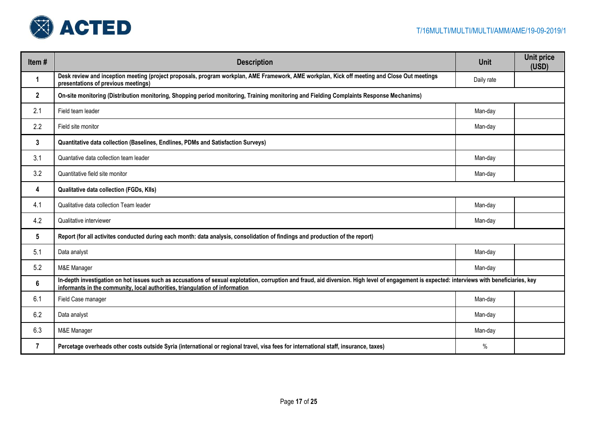

| Item#          | <b>Description</b>                                                                                                                                                                                                                                                            | <b>Unit</b> | <b>Unit price</b><br>(USD) |
|----------------|-------------------------------------------------------------------------------------------------------------------------------------------------------------------------------------------------------------------------------------------------------------------------------|-------------|----------------------------|
| 1              | Desk review and inception meeting (project proposals, program workplan, AME Framework, AME workplan, Kick off meeting and Close Out meetings<br>presentations of previous meetings)                                                                                           | Daily rate  |                            |
| $\overline{2}$ | On-site monitoring (Distribution monitoring, Shopping period monitoring, Training monitoring and Fielding Complaints Response Mechanims)                                                                                                                                      |             |                            |
| 2.1            | Field team leader                                                                                                                                                                                                                                                             | Man-day     |                            |
| 2.2            | Field site monitor                                                                                                                                                                                                                                                            | Man-day     |                            |
| $\mathbf{3}$   | Quantitative data collection (Baselines, Endlines, PDMs and Satisfaction Surveys)                                                                                                                                                                                             |             |                            |
| 3.1            | Quantative data collection team leader                                                                                                                                                                                                                                        | Man-day     |                            |
| 3.2            | Quantitative field site monitor                                                                                                                                                                                                                                               | Man-day     |                            |
| 4              | Qualitative data collection (FGDs, Klls)                                                                                                                                                                                                                                      |             |                            |
| 4.1            | Qualitative data collection Team leader                                                                                                                                                                                                                                       | Man-day     |                            |
| 4.2            | Qualitative interviewer                                                                                                                                                                                                                                                       | Man-day     |                            |
| 5              | Report (for all activites conducted during each month: data analysis, consolidation of findings and production of the report)                                                                                                                                                 |             |                            |
| 5.1            | Data analyst                                                                                                                                                                                                                                                                  | Man-day     |                            |
| 5.2            | M&E Manager                                                                                                                                                                                                                                                                   | Man-day     |                            |
| 6              | In-depth investigation on hot issues such as accusations of sexual explotation, corruption and fraud, aid diversion. High level of engagement is expected: interviews with beneficiaries, key<br>informants in the community, local authorities, triangulation of information |             |                            |
| 6.1            | Field Case manager                                                                                                                                                                                                                                                            | Man-day     |                            |
| 6.2            | Data analyst                                                                                                                                                                                                                                                                  | Man-day     |                            |
| 6.3            | M&E Manager                                                                                                                                                                                                                                                                   | Man-day     |                            |
| 7              | Percetage overheads other costs outside Syria (international or regional travel, visa fees for international staff, insurance, taxes)                                                                                                                                         | $\%$        |                            |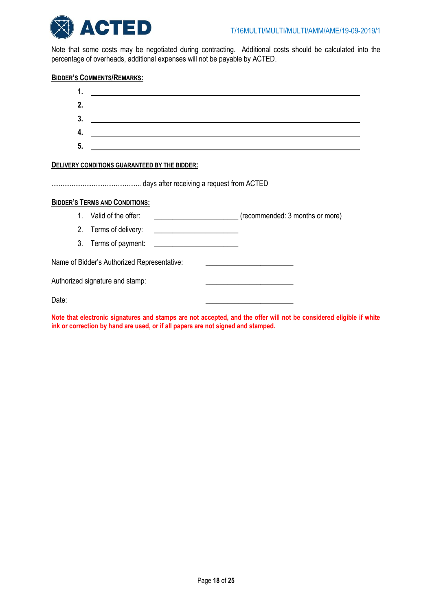

Note that some costs may be negotiated during contracting. Additional costs should be calculated into the percentage of overheads, additional expenses will not be payable by ACTED.

# **BIDDER'S COMMENTS/REMARKS:**

| 1.                              |                                               | <u> 1989 - Johann Stein, mars ann an Catharin ann an t-</u> |                                                                                                                  |                                 |
|---------------------------------|-----------------------------------------------|-------------------------------------------------------------|------------------------------------------------------------------------------------------------------------------|---------------------------------|
| 2.                              |                                               |                                                             | <u>a sa barang ang pagbabang nagarang pangangang nagarang pangangang nagarang pang</u>                           |                                 |
| 3.                              |                                               |                                                             |                                                                                                                  |                                 |
| 4.                              |                                               |                                                             | and the control of the control of the control of the control of the control of the control of the control of the |                                 |
| 5.                              |                                               |                                                             |                                                                                                                  |                                 |
|                                 | DELIVERY CONDITIONS GUARANTEED BY THE BIDDER: |                                                             |                                                                                                                  |                                 |
|                                 | <b>BIDDER'S TERMS AND CONDITIONS:</b>         |                                                             |                                                                                                                  |                                 |
|                                 | 1. Valid of the offer:                        |                                                             |                                                                                                                  | (recommended: 3 months or more) |
|                                 |                                               |                                                             |                                                                                                                  |                                 |
|                                 |                                               |                                                             |                                                                                                                  |                                 |
|                                 | Name of Bidder's Authorized Representative:   |                                                             |                                                                                                                  |                                 |
| Authorized signature and stamp: |                                               |                                                             |                                                                                                                  |                                 |
| Date:                           |                                               |                                                             |                                                                                                                  |                                 |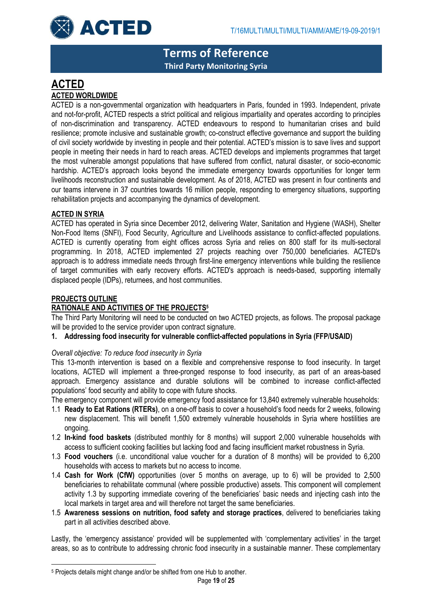

**Terms of Reference Third Party Monitoring Syria**

# **ACTED ACTED WORLDWIDE**

ACTED is a non-governmental organization with headquarters in Paris, founded in 1993. Independent, private and not-for-profit, ACTED respects a strict political and religious impartiality and operates according to principles of non-discrimination and transparency. ACTED endeavours to respond to humanitarian crises and build resilience; promote inclusive and sustainable growth; co-construct effective governance and support the building of civil society worldwide by investing in people and their potential. ACTED's mission is to save lives and support people in meeting their needs in hard to reach areas. ACTED develops and implements programmes that target the most vulnerable amongst populations that have suffered from conflict, natural disaster, or socio-economic hardship. ACTED's approach looks beyond the immediate emergency towards opportunities for longer term livelihoods reconstruction and sustainable development. As of 2018, ACTED was present in four continents and our teams intervene in 37 countries towards 16 million people, responding to emergency situations, supporting rehabilitation projects and accompanying the dynamics of development.

# **ACTED IN SYRIA**

ACTED has operated in Syria since December 2012, delivering Water, Sanitation and Hygiene (WASH), Shelter Non-Food Items (SNFI), Food Security, Agriculture and Livelihoods assistance to conflict-affected populations. ACTED is currently operating from eight offices across Syria and relies on 800 staff for its multi-sectoral programming. In 2018, ACTED implemented 27 projects reaching over 750,000 beneficiaries. ACTED's approach is to address immediate needs through first-line emergency interventions while building the resilience of target communities with early recovery efforts. ACTED's approach is needs-based, supporting internally displaced people (IDPs), returnees, and host communities.

# **PROJECTS OUTLINE**

 $\overline{\phantom{a}}$ 

# **RATIONALE AND ACTIVITIES OF THE PROJECTS<sup>5</sup>**

The Third Party Monitoring will need to be conducted on two ACTED projects, as follows. The proposal package will be provided to the service provider upon contract signature.

**1. Addressing food insecurity for vulnerable conflict-affected populations in Syria (FFP/USAID)**

# *Overall objective: To reduce food insecurity in Syria*

This 13-month intervention is based on a flexible and comprehensive response to food insecurity. In target locations, ACTED will implement a three-pronged response to food insecurity, as part of an areas-based approach. Emergency assistance and durable solutions will be combined to increase conflict-affected populations' food security and ability to cope with future shocks.

The emergency component will provide emergency food assistance for 13,840 extremely vulnerable households:

- 1.1 **Ready to Eat Rations (RTERs)**, on a one-off basis to cover a household's food needs for 2 weeks, following new displacement. This will benefit 1,500 extremely vulnerable households in Syria where hostilities are ongoing.
- 1.2 **In-kind food baskets** (distributed monthly for 8 months) will support 2,000 vulnerable households with access to sufficient cooking facilities but lacking food and facing insufficient market robustness in Syria.
- 1.3 **Food vouchers** (i.e. unconditional value voucher for a duration of 8 months) will be provided to 6,200 households with access to markets but no access to income.
- 1.4 **Cash for Work (CfW)** opportunities (over 5 months on average, up to 6) will be provided to 2,500 beneficiaries to rehabilitate communal (where possible productive) assets. This component will complement activity 1.3 by supporting immediate covering of the beneficiaries' basic needs and injecting cash into the local markets in target area and will therefore not target the same beneficiaries.
- 1.5 **Awareness sessions on nutrition, food safety and storage practices**, delivered to beneficiaries taking part in all activities described above.

Lastly, the 'emergency assistance' provided will be supplemented with 'complementary activities' in the target areas, so as to contribute to addressing chronic food insecurity in a sustainable manner. These complementary

<sup>5</sup> Projects details might change and/or be shifted from one Hub to another.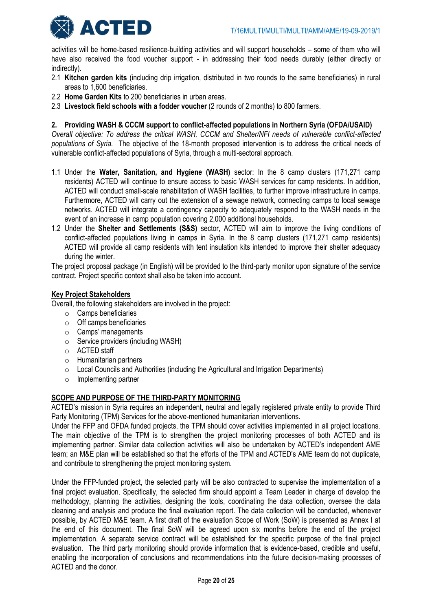

activities will be home-based resilience-building activities and will support households – some of them who will have also received the food voucher support - in addressing their food needs durably (either directly or indirectly).

- 2.1 **Kitchen garden kits** (including drip irrigation, distributed in two rounds to the same beneficiaries) in rural areas to 1,600 beneficiaries.
- 2.2 **Home Garden Kits** to 200 beneficiaries in urban areas.
- 2.3 **Livestock field schools with a fodder voucher** (2 rounds of 2 months) to 800 farmers.

# **2. Providing WASH & CCCM support to conflict-affected populations in Northern Syria (OFDA/USAID)**

*Overall objective: To address the critical WASH, CCCM and Shelter/NFI needs of vulnerable conflict-affected populations of Syria.* The objective of the 18-month proposed intervention is to address the critical needs of vulnerable conflict-affected populations of Syria, through a multi-sectoral approach.

- 1.1 Under the **Water, Sanitation, and Hygiene (WASH)** sector: In the 8 camp clusters (171,271 camp residents) ACTED will continue to ensure access to basic WASH services for camp residents. In addition, ACTED will conduct small-scale rehabilitation of WASH facilities, to further improve infrastructure in camps. Furthermore, ACTED will carry out the extension of a sewage network, connecting camps to local sewage networks. ACTED will integrate a contingency capacity to adequately respond to the WASH needs in the event of an increase in camp population covering 2,000 additional households.
- 1.2 Under the **Shelter and Settlements (S&S)** sector, ACTED will aim to improve the living conditions of conflict-affected populations living in camps in Syria. In the 8 camp clusters (171,271 camp residents) ACTED will provide all camp residents with tent insulation kits intended to improve their shelter adequacy during the winter.

The project proposal package (in English) will be provided to the third-party monitor upon signature of the service contract. Project specific context shall also be taken into account.

# **Key Project Stakeholders**

Overall, the following stakeholders are involved in the project:

- o Camps beneficiaries
- o Off camps beneficiaries
- o Camps' managements
- o Service providers (including WASH)
- o ACTED staff
- o Humanitarian partners
- o Local Councils and Authorities (including the Agricultural and Irrigation Departments)
- o Implementing partner

# **SCOPE AND PURPOSE OF THE THIRD-PARTY MONITORING**

ACTED's mission in Syria requires an independent, neutral and legally registered private entity to provide Third Party Monitoring (TPM) Services for the above-mentioned humanitarian interventions.

Under the FFP and OFDA funded projects, the TPM should cover activities implemented in all project locations. The main objective of the TPM is to strengthen the project monitoring processes of both ACTED and its implementing partner. Similar data collection activities will also be undertaken by ACTED's independent AME team; an M&E plan will be established so that the efforts of the TPM and ACTED's AME team do not duplicate, and contribute to strengthening the project monitoring system.

Under the FFP-funded project, the selected party will be also contracted to supervise the implementation of a final project evaluation. Specifically, the selected firm should appoint a Team Leader in charge of develop the methodology, planning the activities, designing the tools, coordinating the data collection, oversee the data cleaning and analysis and produce the final evaluation report. The data collection will be conducted, whenever possible, by ACTED M&E team. A first draft of the evaluation Scope of Work (SoW) is presented as Annex I at the end of this document. The final SoW will be agreed upon six months before the end of the project implementation. A separate service contract will be established for the specific purpose of the final project evaluation. The third party monitoring should provide information that is evidence-based, credible and useful, enabling the incorporation of conclusions and recommendations into the future decision-making processes of ACTED and the donor.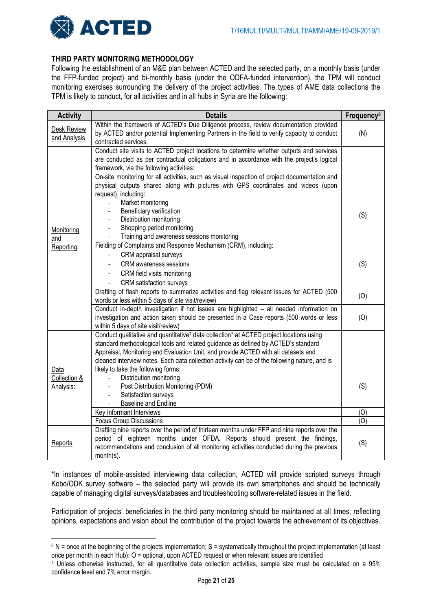

 $\overline{\phantom{a}}$ 

# **THIRD PARTY MONITORING METHODOLOGY**

Following the establishment of an M&E plan between ACTED and the selected party, on a monthly basis (under the FFP-funded project) and bi-monthly basis (under the ODFA-funded intervention), the TPM will conduct monitoring exercises surrounding the delivery of the project activities. The types of AME data collections the TPM is likely to conduct, for all activities and in all hubs in Syria are the following:

| <b>Activity</b>                    | <b>Details</b>                                                                                                                                                                                                                                                                                                                                                                                                                                                                                                                        | Frequency <sup>6</sup> |
|------------------------------------|---------------------------------------------------------------------------------------------------------------------------------------------------------------------------------------------------------------------------------------------------------------------------------------------------------------------------------------------------------------------------------------------------------------------------------------------------------------------------------------------------------------------------------------|------------------------|
| <b>Desk Review</b><br>and Analysis | Within the framework of ACTED's Due Diligence process, review documentation provided<br>by ACTED and/or potential Implementing Partners in the field to verify capacity to conduct<br>contracted services.                                                                                                                                                                                                                                                                                                                            | (N)                    |
|                                    | Conduct site visits to ACTED project locations to determine whether outputs and services<br>are conducted as per contractual obligations and in accordance with the project's logical<br>framework, via the following activities:<br>On-site monitoring for all activities, such as visual inspection of project documentation and<br>physical outputs shared along with pictures with GPS coordinates and videos (upon<br>request), including:<br>Market monitoring                                                                  |                        |
| Monitoring<br>and                  | Beneficiary verification<br>Distribution monitoring<br>Shopping period monitoring<br>$\overline{\phantom{0}}$<br>Training and awareness sessions monitoring                                                                                                                                                                                                                                                                                                                                                                           | (S)                    |
| Reporting:                         | Fielding of Complaints and Response Mechanism (CRM), including:<br>CRM appraisal surveys<br><b>CRM</b> awareness sessions<br>CRM field visits monitoring<br><b>CRM</b> satisfaction surveys                                                                                                                                                                                                                                                                                                                                           | (S)                    |
|                                    | Drafting of flash reports to summarize activities and flag relevant issues for ACTED (500<br>words or less within 5 days of site visit/review)                                                                                                                                                                                                                                                                                                                                                                                        | (O)                    |
|                                    | Conduct in-depth investigation if hot issues are highlighted - all needed information on<br>investigation and action taken should be presented in a Case reports (500 words or less<br>within 5 days of site visit/review)                                                                                                                                                                                                                                                                                                            | (0)                    |
| Data<br>Collection &<br>Analysis:  | Conduct qualitative and quantitative <sup>7</sup> data collection* at ACTED project locations using<br>standard methodological tools and related guidance as defined by ACTED's standard<br>Appraisal, Monitoring and Evaluation Unit, and provide ACTED with all datasets and<br>cleaned interview notes. Each data collection activity can be of the following nature, and is<br>likely to take the following forms:<br>Distribution monitoring<br>$\overline{\phantom{a}}$<br>Post Distribution Monitoring (PDM)<br>$\blacksquare$ | (S)                    |
|                                    | Satisfaction surveys<br><b>Baseline and Endline</b>                                                                                                                                                                                                                                                                                                                                                                                                                                                                                   |                        |
|                                    | Key Informant Interviews                                                                                                                                                                                                                                                                                                                                                                                                                                                                                                              | (O)                    |
|                                    | <b>Focus Group Discussions</b>                                                                                                                                                                                                                                                                                                                                                                                                                                                                                                        | (0)                    |
| Reports                            | Drafting nine reports over the period of thirteen months under FFP and nine reports over the<br>period of eighteen months under OFDA. Reports should present the findings,<br>recommendations and conclusion of all monitoring activities conducted during the previous<br>month(s).                                                                                                                                                                                                                                                  | (S)                    |

\*In instances of mobile-assisted interviewing data collection, ACTED will provide scripted surveys through Kobo/ODK survey software – the selected party will provide its own smartphones and should be technically capable of managing digital surveys/databases and troubleshooting software-related issues in the field.

Participation of projects' beneficiaries in the third party monitoring should be maintained at all times, reflecting opinions, expectations and vision about the contribution of the project towards the achievement of its objectives.

 $6$  N = once at the beginning of the projects implementation; S = systematically throughout the project implementation (at least once per month in each Hub); O = optional, upon ACTED request or when relevant issues are identified

<sup>7</sup> Unless otherwise instructed, for all quantitative data collection activities, sample size must be calculated on a 95% confidence level and 7% error margin.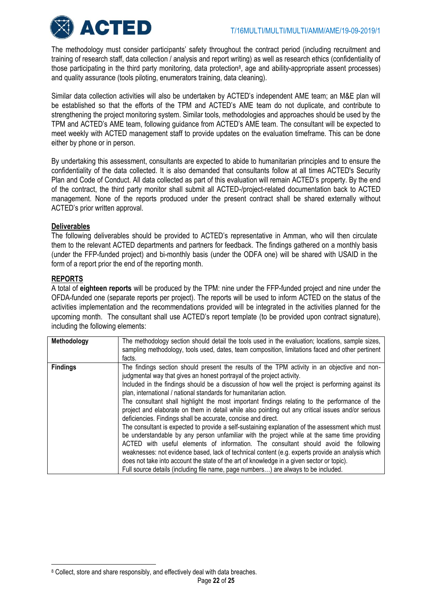

The methodology must consider participants' safety throughout the contract period (including recruitment and training of research staff, data collection / analysis and report writing) as well as research ethics (confidentiality of those participating in the third party monitoring, data protection<sup>8</sup>, age and ability-appropriate assent processes) and quality assurance (tools piloting, enumerators training, data cleaning).

Similar data collection activities will also be undertaken by ACTED's independent AME team; an M&E plan will be established so that the efforts of the TPM and ACTED's AME team do not duplicate, and contribute to strengthening the project monitoring system. Similar tools, methodologies and approaches should be used by the TPM and ACTED's AME team, following guidance from ACTED's AME team. The consultant will be expected to meet weekly with ACTED management staff to provide updates on the evaluation timeframe. This can be done either by phone or in person.

By undertaking this assessment, consultants are expected to abide to humanitarian principles and to ensure the confidentiality of the data collected. It is also demanded that consultants follow at all times ACTED's Security Plan and Code of Conduct. All data collected as part of this evaluation will remain ACTED's property. By the end of the contract, the third party monitor shall submit all ACTED-/project-related documentation back to ACTED management. None of the reports produced under the present contract shall be shared externally without ACTED's prior written approval.

# **Deliverables**

The following deliverables should be provided to ACTED's representative in Amman, who will then circulate them to the relevant ACTED departments and partners for feedback. The findings gathered on a monthly basis (under the FFP-funded project) and bi-monthly basis (under the ODFA one) will be shared with USAID in the form of a report prior the end of the reporting month.

# **REPORTS**

 $\overline{\phantom{a}}$ 

A total of **eighteen reports** will be produced by the TPM: nine under the FFP-funded project and nine under the OFDA-funded one (separate reports per project). The reports will be used to inform ACTED on the status of the activities implementation and the recommendations provided will be integrated in the activities planned for the upcoming month.The consultant shall use ACTED's report template (to be provided upon contract signature), including the following elements:

| Methodology     | The methodology section should detail the tools used in the evaluation; locations, sample sizes,<br>sampling methodology, tools used, dates, team composition, limitations faced and other pertinent<br>facts.                                                                                                                                                                                                                                                                                                                                                                                                                                                                                                                                                                                                                                                                                                                                                                                                                                                                                                                                                                                               |
|-----------------|--------------------------------------------------------------------------------------------------------------------------------------------------------------------------------------------------------------------------------------------------------------------------------------------------------------------------------------------------------------------------------------------------------------------------------------------------------------------------------------------------------------------------------------------------------------------------------------------------------------------------------------------------------------------------------------------------------------------------------------------------------------------------------------------------------------------------------------------------------------------------------------------------------------------------------------------------------------------------------------------------------------------------------------------------------------------------------------------------------------------------------------------------------------------------------------------------------------|
| <b>Findings</b> | The findings section should present the results of the TPM activity in an objective and non-<br>judgmental way that gives an honest portrayal of the project activity.<br>Included in the findings should be a discussion of how well the project is performing against its<br>plan, international / national standards for humanitarian action.<br>The consultant shall highlight the most important findings relating to the performance of the<br>project and elaborate on them in detail while also pointing out any critical issues and/or serious<br>deficiencies. Findings shall be accurate, concise and direct.<br>The consultant is expected to provide a self-sustaining explanation of the assessment which must<br>be understandable by any person unfamiliar with the project while at the same time providing<br>ACTED with useful elements of information. The consultant should avoid the following<br>weaknesses: not evidence based, lack of technical content (e.g. experts provide an analysis which<br>does not take into account the state of the art of knowledge in a given sector or topic).<br>Full source details (including file name, page numbers) are always to be included. |

<sup>&</sup>lt;sup>8</sup> Collect, store and share responsibly, and effectively deal with data breaches.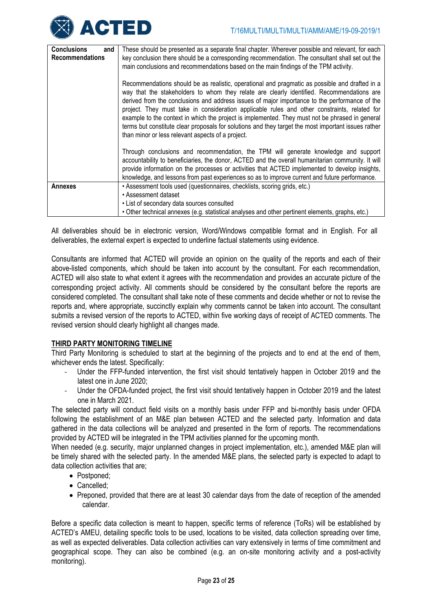| <b>Conclusions</b><br>and<br><b>Recommendations</b> | These should be presented as a separate final chapter. Wherever possible and relevant, for each<br>key conclusion there should be a corresponding recommendation. The consultant shall set out the<br>main conclusions and recommendations based on the main findings of the TPM activity.                                                                                                                                                                                                                                                                                                                                                                  |
|-----------------------------------------------------|-------------------------------------------------------------------------------------------------------------------------------------------------------------------------------------------------------------------------------------------------------------------------------------------------------------------------------------------------------------------------------------------------------------------------------------------------------------------------------------------------------------------------------------------------------------------------------------------------------------------------------------------------------------|
|                                                     | Recommendations should be as realistic, operational and pragmatic as possible and drafted in a<br>way that the stakeholders to whom they relate are clearly identified. Recommendations are<br>derived from the conclusions and address issues of major importance to the performance of the<br>project. They must take in consideration applicable rules and other constraints, related for<br>example to the context in which the project is implemented. They must not be phrased in general<br>terms but constitute clear proposals for solutions and they target the most important issues rather<br>than minor or less relevant aspects of a project. |
|                                                     | Through conclusions and recommendation, the TPM will generate knowledge and support<br>accountability to beneficiaries, the donor, ACTED and the overall humanitarian community. It will<br>provide information on the processes or activities that ACTED implemented to develop insights,<br>knowledge, and lessons from past experiences so as to improve current and future performance.                                                                                                                                                                                                                                                                 |
| <b>Annexes</b>                                      | • Assessment tools used (questionnaires, checklists, scoring grids, etc.)                                                                                                                                                                                                                                                                                                                                                                                                                                                                                                                                                                                   |
|                                                     | • Assessment dataset                                                                                                                                                                                                                                                                                                                                                                                                                                                                                                                                                                                                                                        |
|                                                     | • List of secondary data sources consulted                                                                                                                                                                                                                                                                                                                                                                                                                                                                                                                                                                                                                  |
|                                                     | . Other technical annexes (e.g. statistical analyses and other pertinent elements, graphs, etc.)                                                                                                                                                                                                                                                                                                                                                                                                                                                                                                                                                            |

All deliverables should be in electronic version, Word/Windows compatible format and in English. For all deliverables, the external expert is expected to underline factual statements using evidence.

Consultants are informed that ACTED will provide an opinion on the quality of the reports and each of their above-listed components, which should be taken into account by the consultant. For each recommendation, ACTED will also state to what extent it agrees with the recommendation and provides an accurate picture of the corresponding project activity. All comments should be considered by the consultant before the reports are considered completed. The consultant shall take note of these comments and decide whether or not to revise the reports and, where appropriate, succinctly explain why comments cannot be taken into account. The consultant submits a revised version of the reports to ACTED, within five working days of receipt of ACTED comments. The revised version should clearly highlight all changes made.

# **THIRD PARTY MONITORING TIMELINE**

Third Party Monitoring is scheduled to start at the beginning of the projects and to end at the end of them, whichever ends the latest. Specifically:

- Under the FFP-funded intervention, the first visit should tentatively happen in October 2019 and the latest one in June 2020;
- Under the OFDA-funded project, the first visit should tentatively happen in October 2019 and the latest one in March 2021.

The selected party will conduct field visits on a monthly basis under FFP and bi-monthly basis under OFDA following the establishment of an M&E plan between ACTED and the selected party. Information and data gathered in the data collections will be analyzed and presented in the form of reports. The recommendations provided by ACTED will be integrated in the TPM activities planned for the upcoming month.

When needed (e.g. security, major unplanned changes in project implementation, etc.), amended M&E plan will be timely shared with the selected party. In the amended M&E plans, the selected party is expected to adapt to data collection activities that are;

- Postponed:
- Cancelled:
- Preponed, provided that there are at least 30 calendar days from the date of reception of the amended calendar.

Before a specific data collection is meant to happen, specific terms of reference (ToRs) will be established by ACTED's AMEU, detailing specific tools to be used, locations to be visited, data collection spreading over time, as well as expected deliverables. Data collection activities can vary extensively in terms of time commitment and geographical scope. They can also be combined (e.g. an on-site monitoring activity and a post-activity monitoring).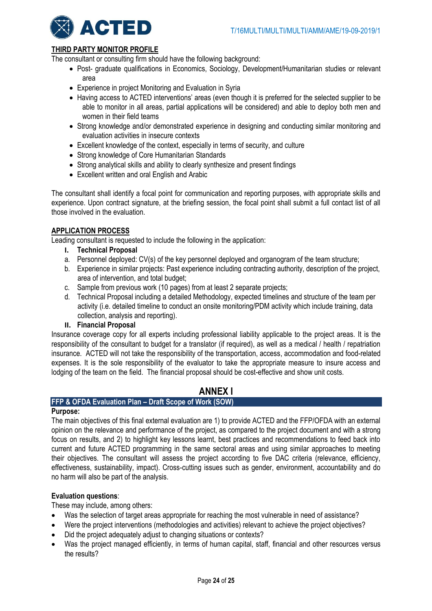

# **THIRD PARTY MONITOR PROFILE**

The consultant or consulting firm should have the following background:

- Post- graduate qualifications in Economics, Sociology, Development/Humanitarian studies or relevant area
- Experience in project Monitoring and Evaluation in Syria
- Having access to ACTED interventions' areas (even though it is preferred for the selected supplier to be able to monitor in all areas, partial applications will be considered) and able to deploy both men and women in their field teams
- Strong knowledge and/or demonstrated experience in designing and conducting similar monitoring and evaluation activities in insecure contexts
- Excellent knowledge of the context, especially in terms of security, and culture
- Strong knowledge of Core Humanitarian Standards
- Strong analytical skills and ability to clearly synthesize and present findings
- Excellent written and oral English and Arabic

The consultant shall identify a focal point for communication and reporting purposes, with appropriate skills and experience. Upon contract signature, at the briefing session, the focal point shall submit a full contact list of all those involved in the evaluation.

# **APPLICATION PROCESS**

Leading consultant is requested to include the following in the application:

- **I. Technical Proposal**
- a. Personnel deployed: CV(s) of the key personnel deployed and organogram of the team structure;
- b. Experience in similar projects: Past experience including contracting authority, description of the project, area of intervention, and total budget;
- c. Sample from previous work (10 pages) from at least 2 separate projects;
- d. Technical Proposal including a detailed Methodology, expected timelines and structure of the team per activity (i.e. detailed timeline to conduct an onsite monitoring/PDM activity which include training, data collection, analysis and reporting).
- **II. Financial Proposal**

Insurance coverage copy for all experts including professional liability applicable to the project areas. It is the responsibility of the consultant to budget for a translator (if required), as well as a medical / health / repatriation insurance. ACTED will not take the responsibility of the transportation, access, accommodation and food-related expenses. It is the sole responsibility of the evaluator to take the appropriate measure to insure access and lodging of the team on the field. The financial proposal should be cost-effective and show unit costs.

# **ANNEX I**

# **FFP & OFDA Evaluation Plan – Draft Scope of Work (SOW)**

# **Purpose:**

The main objectives of this final external evaluation are 1) to provide ACTED and the FFP/OFDA with an external opinion on the relevance and performance of the project, as compared to the project document and with a strong focus on results, and 2) to highlight key lessons learnt, best practices and recommendations to feed back into current and future ACTED programming in the same sectoral areas and using similar approaches to meeting their objectives. The consultant will assess the project according to five DAC criteria (relevance, efficiency, effectiveness, sustainability, impact). Cross-cutting issues such as gender, environment, accountability and do no harm will also be part of the analysis.

# **Evaluation questions**:

These may include, among others:

- Was the selection of target areas appropriate for reaching the most vulnerable in need of assistance?
- Were the project interventions (methodologies and activities) relevant to achieve the project objectives?
- Did the project adequately adjust to changing situations or contexts?
- Was the project managed efficiently, in terms of human capital, staff, financial and other resources versus the results?